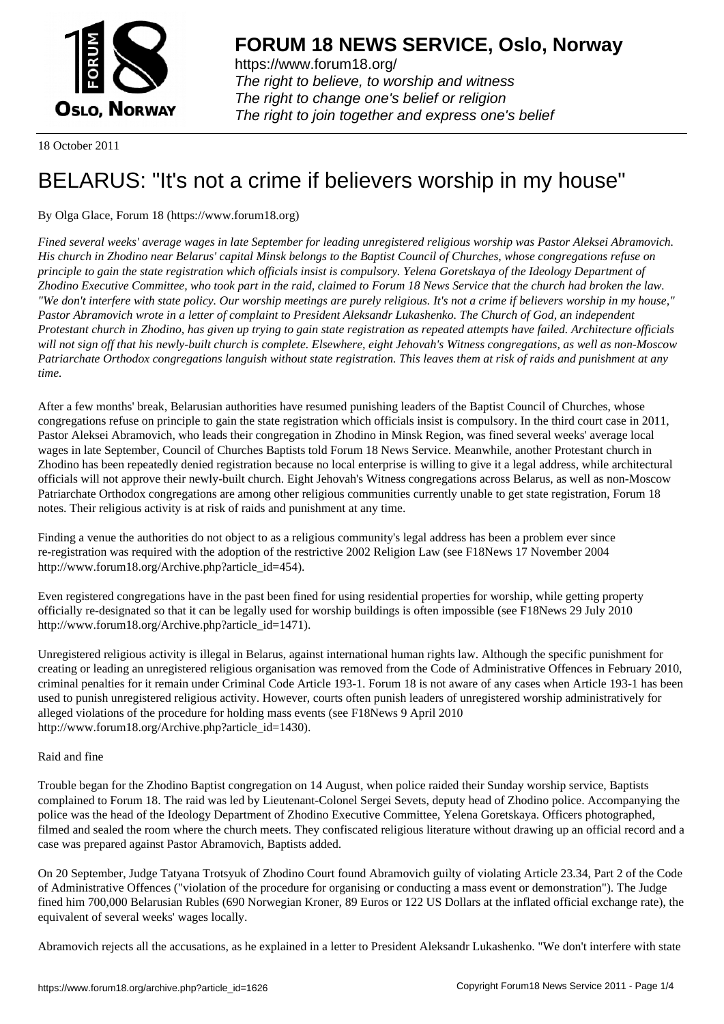

https://www.forum18.org/ The right to believe, to worship and witness The right to change one's belief or religion [The right to join together a](https://www.forum18.org/)nd express one's belief

18 October 2011

## [BELARUS: "It's](https://www.forum18.org) not a crime if believers worship in my house"

By Olga Glace, Forum 18 (https://www.forum18.org)

*Fined several weeks' average wages in late September for leading unregistered religious worship was Pastor Aleksei Abramovich. His church in Zhodino near Belarus' capital Minsk belongs to the Baptist Council of Churches, whose congregations refuse on principle to gain the state registration which officials insist is compulsory. Yelena Goretskaya of the Ideology Department of Zhodino Executive Committee, who took part in the raid, claimed to Forum 18 News Service that the church had broken the law. "We don't interfere with state policy. Our worship meetings are purely religious. It's not a crime if believers worship in my house," Pastor Abramovich wrote in a letter of complaint to President Aleksandr Lukashenko. The Church of God, an independent Protestant church in Zhodino, has given up trying to gain state registration as repeated attempts have failed. Architecture officials will not sign off that his newly-built church is complete. Elsewhere, eight Jehovah's Witness congregations, as well as non-Moscow Patriarchate Orthodox congregations languish without state registration. This leaves them at risk of raids and punishment at any time.*

After a few months' break, Belarusian authorities have resumed punishing leaders of the Baptist Council of Churches, whose congregations refuse on principle to gain the state registration which officials insist is compulsory. In the third court case in 2011, Pastor Aleksei Abramovich, who leads their congregation in Zhodino in Minsk Region, was fined several weeks' average local wages in late September, Council of Churches Baptists told Forum 18 News Service. Meanwhile, another Protestant church in Zhodino has been repeatedly denied registration because no local enterprise is willing to give it a legal address, while architectural officials will not approve their newly-built church. Eight Jehovah's Witness congregations across Belarus, as well as non-Moscow Patriarchate Orthodox congregations are among other religious communities currently unable to get state registration, Forum 18 notes. Their religious activity is at risk of raids and punishment at any time.

Finding a venue the authorities do not object to as a religious community's legal address has been a problem ever since re-registration was required with the adoption of the restrictive 2002 Religion Law (see F18News 17 November 2004 http://www.forum18.org/Archive.php?article\_id=454).

Even registered congregations have in the past been fined for using residential properties for worship, while getting property officially re-designated so that it can be legally used for worship buildings is often impossible (see F18News 29 July 2010 http://www.forum18.org/Archive.php?article\_id=1471).

Unregistered religious activity is illegal in Belarus, against international human rights law. Although the specific punishment for creating or leading an unregistered religious organisation was removed from the Code of Administrative Offences in February 2010, criminal penalties for it remain under Criminal Code Article 193-1. Forum 18 is not aware of any cases when Article 193-1 has been used to punish unregistered religious activity. However, courts often punish leaders of unregistered worship administratively for alleged violations of the procedure for holding mass events (see F18News 9 April 2010 http://www.forum18.org/Archive.php?article\_id=1430).

## Raid and fine

Trouble began for the Zhodino Baptist congregation on 14 August, when police raided their Sunday worship service, Baptists complained to Forum 18. The raid was led by Lieutenant-Colonel Sergei Sevets, deputy head of Zhodino police. Accompanying the police was the head of the Ideology Department of Zhodino Executive Committee, Yelena Goretskaya. Officers photographed, filmed and sealed the room where the church meets. They confiscated religious literature without drawing up an official record and a case was prepared against Pastor Abramovich, Baptists added.

On 20 September, Judge Tatyana Trotsyuk of Zhodino Court found Abramovich guilty of violating Article 23.34, Part 2 of the Code of Administrative Offences ("violation of the procedure for organising or conducting a mass event or demonstration"). The Judge fined him 700,000 Belarusian Rubles (690 Norwegian Kroner, 89 Euros or 122 US Dollars at the inflated official exchange rate), the equivalent of several weeks' wages locally.

Abramovich rejects all the accusations, as he explained in a letter to President Aleksandr Lukashenko. "We don't interfere with state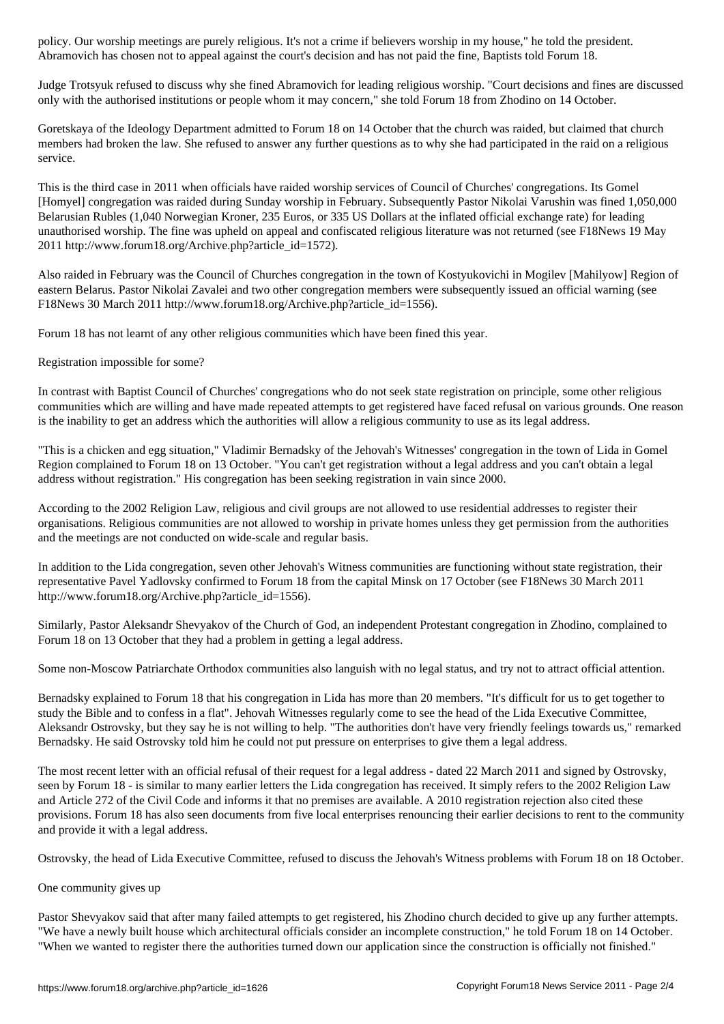Abramovich has chosen not to appeal against the court's decision and has not paid the fine, Baptists told Forum 18. The fine, Baptists told Forum 18. The fine, Baptists told Forum 18. The fine, Baptists told Forum 18. The

Judge Trotsyuk refused to discuss why she fined Abramovich for leading religious worship. "Court decisions and fines are discussed only with the authorised institutions or people whom it may concern," she told Forum 18 from Zhodino on 14 October.

Goretskaya of the Ideology Department admitted to Forum 18 on 14 October that the church was raided, but claimed that church members had broken the law. She refused to answer any further questions as to why she had participated in the raid on a religious service.

This is the third case in 2011 when officials have raided worship services of Council of Churches' congregations. Its Gomel [Homyel] congregation was raided during Sunday worship in February. Subsequently Pastor Nikolai Varushin was fined 1,050,000 Belarusian Rubles (1,040 Norwegian Kroner, 235 Euros, or 335 US Dollars at the inflated official exchange rate) for leading unauthorised worship. The fine was upheld on appeal and confiscated religious literature was not returned (see F18News 19 May 2011 http://www.forum18.org/Archive.php?article\_id=1572).

Also raided in February was the Council of Churches congregation in the town of Kostyukovichi in Mogilev [Mahilyow] Region of eastern Belarus. Pastor Nikolai Zavalei and two other congregation members were subsequently issued an official warning (see F18News 30 March 2011 http://www.forum18.org/Archive.php?article\_id=1556).

Forum 18 has not learnt of any other religious communities which have been fined this year.

Registration impossible for some?

In contrast with Baptist Council of Churches' congregations who do not seek state registration on principle, some other religious communities which are willing and have made repeated attempts to get registered have faced refusal on various grounds. One reason is the inability to get an address which the authorities will allow a religious community to use as its legal address.

"This is a chicken and egg situation," Vladimir Bernadsky of the Jehovah's Witnesses' congregation in the town of Lida in Gomel Region complained to Forum 18 on 13 October. "You can't get registration without a legal address and you can't obtain a legal address without registration." His congregation has been seeking registration in vain since 2000.

According to the 2002 Religion Law, religious and civil groups are not allowed to use residential addresses to register their organisations. Religious communities are not allowed to worship in private homes unless they get permission from the authorities and the meetings are not conducted on wide-scale and regular basis.

In addition to the Lida congregation, seven other Jehovah's Witness communities are functioning without state registration, their representative Pavel Yadlovsky confirmed to Forum 18 from the capital Minsk on 17 October (see F18News 30 March 2011 http://www.forum18.org/Archive.php?article\_id=1556).

Similarly, Pastor Aleksandr Shevyakov of the Church of God, an independent Protestant congregation in Zhodino, complained to Forum 18 on 13 October that they had a problem in getting a legal address.

Some non-Moscow Patriarchate Orthodox communities also languish with no legal status, and try not to attract official attention.

Bernadsky explained to Forum 18 that his congregation in Lida has more than 20 members. "It's difficult for us to get together to study the Bible and to confess in a flat". Jehovah Witnesses regularly come to see the head of the Lida Executive Committee, Aleksandr Ostrovsky, but they say he is not willing to help. "The authorities don't have very friendly feelings towards us," remarked Bernadsky. He said Ostrovsky told him he could not put pressure on enterprises to give them a legal address.

The most recent letter with an official refusal of their request for a legal address - dated 22 March 2011 and signed by Ostrovsky, seen by Forum 18 - is similar to many earlier letters the Lida congregation has received. It simply refers to the 2002 Religion Law and Article 272 of the Civil Code and informs it that no premises are available. A 2010 registration rejection also cited these provisions. Forum 18 has also seen documents from five local enterprises renouncing their earlier decisions to rent to the community and provide it with a legal address.

Ostrovsky, the head of Lida Executive Committee, refused to discuss the Jehovah's Witness problems with Forum 18 on 18 October.

## One community gives up

Pastor Shevyakov said that after many failed attempts to get registered, his Zhodino church decided to give up any further attempts. "We have a newly built house which architectural officials consider an incomplete construction," he told Forum 18 on 14 October. "When we wanted to register there the authorities turned down our application since the construction is officially not finished."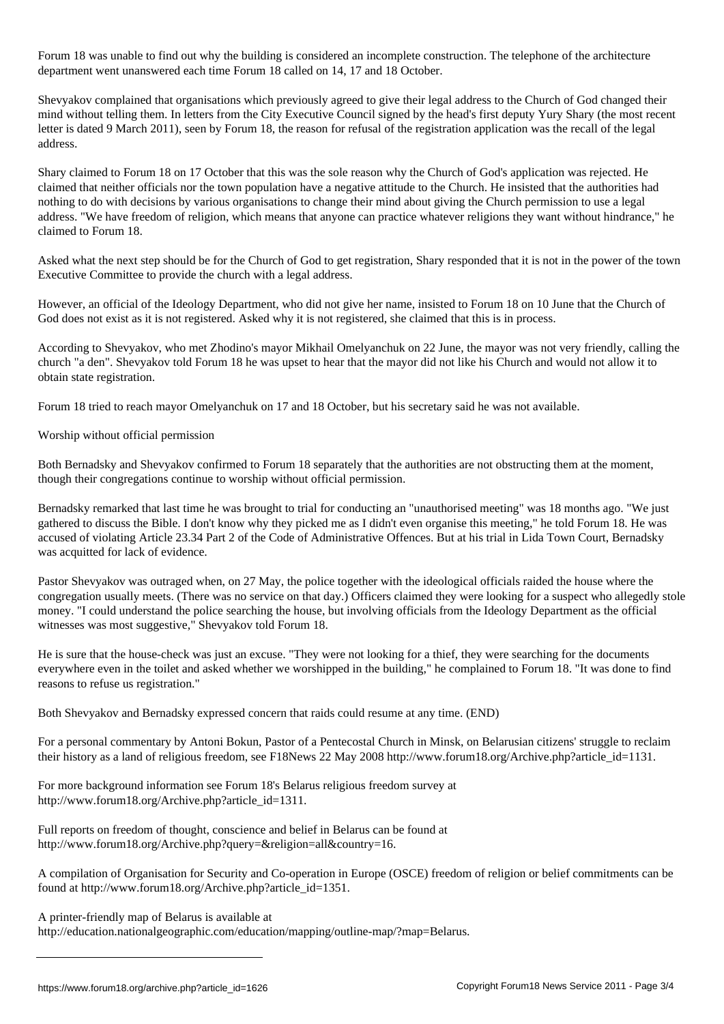For the building is considered an incomplete considered and incomplete construction. The telephone of the architecture department went unanswered each time Forum 18 called on 14, 17 and 18 October.

Shevyakov complained that organisations which previously agreed to give their legal address to the Church of God changed their mind without telling them. In letters from the City Executive Council signed by the head's first deputy Yury Shary (the most recent letter is dated 9 March 2011), seen by Forum 18, the reason for refusal of the registration application was the recall of the legal address.

Shary claimed to Forum 18 on 17 October that this was the sole reason why the Church of God's application was rejected. He claimed that neither officials nor the town population have a negative attitude to the Church. He insisted that the authorities had nothing to do with decisions by various organisations to change their mind about giving the Church permission to use a legal address. "We have freedom of religion, which means that anyone can practice whatever religions they want without hindrance," he claimed to Forum 18.

Asked what the next step should be for the Church of God to get registration, Shary responded that it is not in the power of the town Executive Committee to provide the church with a legal address.

However, an official of the Ideology Department, who did not give her name, insisted to Forum 18 on 10 June that the Church of God does not exist as it is not registered. Asked why it is not registered, she claimed that this is in process.

According to Shevyakov, who met Zhodino's mayor Mikhail Omelyanchuk on 22 June, the mayor was not very friendly, calling the church "a den". Shevyakov told Forum 18 he was upset to hear that the mayor did not like his Church and would not allow it to obtain state registration.

Forum 18 tried to reach mayor Omelyanchuk on 17 and 18 October, but his secretary said he was not available.

Worship without official permission

Both Bernadsky and Shevyakov confirmed to Forum 18 separately that the authorities are not obstructing them at the moment, though their congregations continue to worship without official permission.

Bernadsky remarked that last time he was brought to trial for conducting an "unauthorised meeting" was 18 months ago. "We just gathered to discuss the Bible. I don't know why they picked me as I didn't even organise this meeting," he told Forum 18. He was accused of violating Article 23.34 Part 2 of the Code of Administrative Offences. But at his trial in Lida Town Court, Bernadsky was acquitted for lack of evidence.

Pastor Shevyakov was outraged when, on 27 May, the police together with the ideological officials raided the house where the congregation usually meets. (There was no service on that day.) Officers claimed they were looking for a suspect who allegedly stole money. "I could understand the police searching the house, but involving officials from the Ideology Department as the official witnesses was most suggestive," Shevyakov told Forum 18.

He is sure that the house-check was just an excuse. "They were not looking for a thief, they were searching for the documents everywhere even in the toilet and asked whether we worshipped in the building," he complained to Forum 18. "It was done to find reasons to refuse us registration."

Both Shevyakov and Bernadsky expressed concern that raids could resume at any time. (END)

For a personal commentary by Antoni Bokun, Pastor of a Pentecostal Church in Minsk, on Belarusian citizens' struggle to reclaim their history as a land of religious freedom, see F18News 22 May 2008 http://www.forum18.org/Archive.php?article\_id=1131.

For more background information see Forum 18's Belarus religious freedom survey at http://www.forum18.org/Archive.php?article\_id=1311.

Full reports on freedom of thought, conscience and belief in Belarus can be found at http://www.forum18.org/Archive.php?query=&religion=all&country=16.

A compilation of Organisation for Security and Co-operation in Europe (OSCE) freedom of religion or belief commitments can be found at http://www.forum18.org/Archive.php?article\_id=1351.

A printer-friendly map of Belarus is available at

http://education.nationalgeographic.com/education/mapping/outline-map/?map=Belarus.